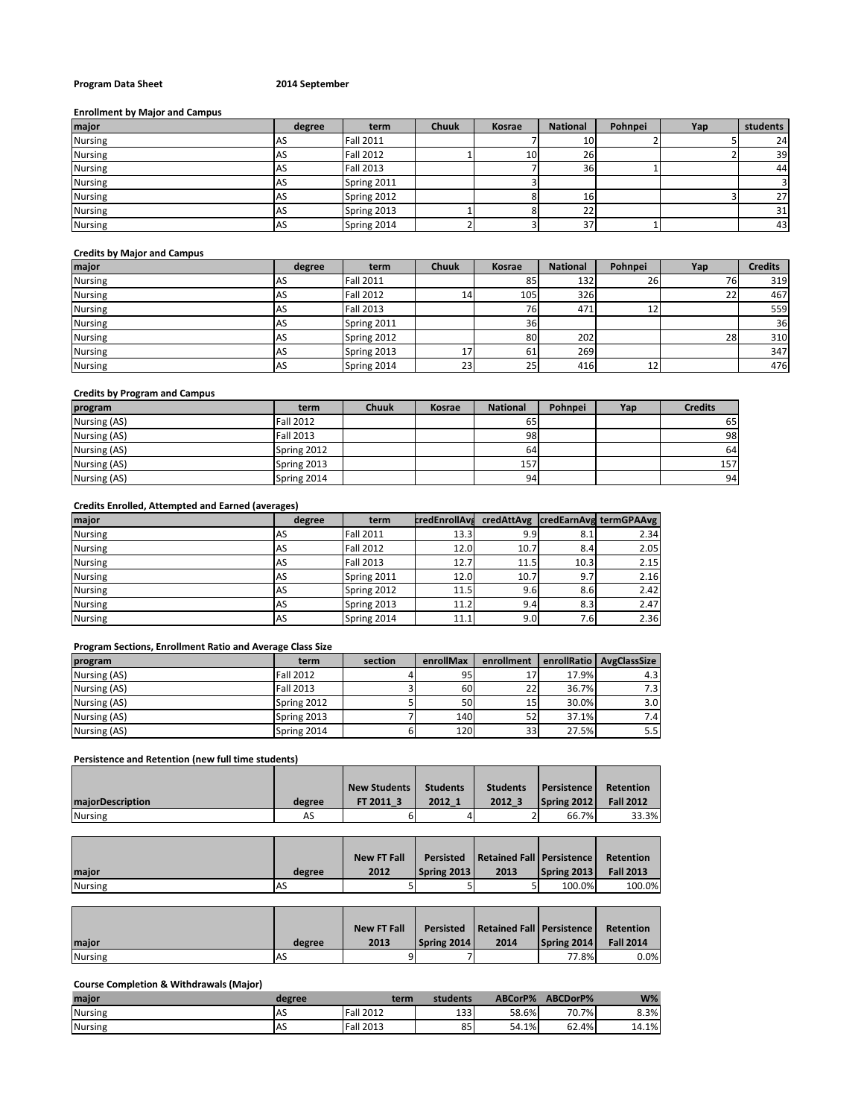## **Program Data Sheet 2014 September**

#### **Enrollment by Major and Campus**

| major          | degree | term             | <b>Chuuk</b> | Kosrae | <b>National</b> | Pohnpei | Yap | students |
|----------------|--------|------------------|--------------|--------|-----------------|---------|-----|----------|
| <b>Nursing</b> | AS     | <b>Fall 2011</b> |              |        | 10              |         |     | 24       |
| <b>Nursing</b> | AS     | <b>Fall 2012</b> |              | 10     | 26              |         |     | 39       |
| <b>Nursing</b> | AS     | <b>Fall 2013</b> |              |        | 36              |         |     | 44       |
| <b>Nursing</b> | AS     | Spring 2011      |              |        |                 |         |     |          |
| <b>Nursing</b> | AS     | Spring 2012      |              |        | 16              |         |     | 27       |
| <b>Nursing</b> | AS     | Spring 2013      |              |        | 22              |         |     | 31       |
| <b>Nursing</b> | AS     | Spring 2014      |              |        | 37              |         |     | 43       |

#### **Credits by Major and Campus**

| major          | degree    | term             | Chuuk | Kosrae    | <b>National</b> | Pohnpei | Yap | <b>Credits</b> |
|----------------|-----------|------------------|-------|-----------|-----------------|---------|-----|----------------|
| <b>Nursing</b> | AS        | <b>Fall 2011</b> |       | 85        | 132             | 26      | 76  | 319            |
| <b>Nursing</b> | AS        | <b>Fall 2012</b> | 14    | 105       | 326             |         | 22  | 467            |
| <b>Nursing</b> | AS        | <b>Fall 2013</b> |       | 76        | 471             | ᅩ       |     | 559            |
| <b>Nursing</b> | <b>AS</b> | Spring 2011      |       | <b>36</b> |                 |         |     | 36             |
| <b>Nursing</b> | AS        | Spring 2012      |       | 80        | 202             |         | 28  | 310            |
| <b>Nursing</b> | <b>AS</b> | Spring 2013      | 17    | 61        | 269             |         |     | 347            |
| <b>Nursing</b> | <b>AS</b> | Spring 2014      | 23    | 25        | 416             | 12      |     | 476            |

## **Credits by Program and Campus**

| program      | term             | <b>Chuuk</b> | <b>Kosrae</b> | <b>National</b> | Pohnpei | Yap | <b>Credits</b> |
|--------------|------------------|--------------|---------------|-----------------|---------|-----|----------------|
| Nursing (AS) | <b>Fall 2012</b> |              |               | 65              |         |     | 65             |
| Nursing (AS) | Fall 2013        |              |               | 98              |         |     | 98             |
| Nursing (AS) | Spring 2012      |              |               | 64              |         |     | 64             |
| Nursing (AS) | Spring 2013      |              |               | 157             |         |     | 157            |
| Nursing (AS) | Spring 2014      |              |               | 94              |         |     | 94             |

## **Credits Enrolled, Attempted and Earned (averages)**

| major          | degree    | term             | <b>credEnrollAva</b> |      |      | credAttAvg   credEarnAvg termGPAAvg |
|----------------|-----------|------------------|----------------------|------|------|-------------------------------------|
| <b>Nursing</b> | <b>AS</b> | <b>Fall 2011</b> | 13.3                 | 9.9  | 8.1  | 2.34                                |
| <b>Nursing</b> | <b>AS</b> | <b>Fall 2012</b> | 12.0                 | 10.7 | 8.4  | 2.05                                |
| <b>Nursing</b> | AS        | <b>Fall 2013</b> | 12.7                 | 11.5 | 10.3 | 2.15                                |
| <b>Nursing</b> | <b>AS</b> | Spring 2011      | 12.0                 | 10.7 | 9.7  | 2.16                                |
| <b>Nursing</b> | <b>AS</b> | Spring 2012      | 11.5                 | 9.6  | 8.6  | 2.42                                |
| <b>Nursing</b> | <b>AS</b> | Spring 2013      | 11.2                 | 9.4  | 8.3  | 2.47                                |
| <b>Nursing</b> | <b>AS</b> | Spring 2014      | 11.1                 | 9.0  | 7.6  | 2.36                                |

## **Program Sections, Enrollment Ratio and Average Class Size**

| program      | term             | section | enrollMax | enrollment |       | enrollRatio   AvgClassSize |
|--------------|------------------|---------|-----------|------------|-------|----------------------------|
| Nursing (AS) | <b>Fall 2012</b> |         | 95        | 17         | 17.9% | 4.3 <sub>1</sub>           |
| Nursing (AS) | <b>Fall 2013</b> |         | 60        | 22         | 36.7% | 7.3 <sub>1</sub>           |
| Nursing (AS) | Spring 2012      |         | 50        | 15         | 30.0% | 3.0 <sub>1</sub>           |
| Nursing (AS) | Spring 2013      |         | 140       | 52         | 37.1% | 7.4                        |
| Nursing (AS) | Spring 2014      |         | 120       | 33         | 27.5% | 5.51                       |

## **Persistence and Retention (new full time students)**

|                         |        | <b>New Students</b> | <b>Students</b> | <b>Students</b> | <b>Persistence</b> | <b>Retention</b> |
|-------------------------|--------|---------------------|-----------------|-----------------|--------------------|------------------|
| <b>majorDescription</b> | degree | FT 2011 3           | 2012 1          | 2012 3          | Spring 2012        | <b>Fall 2012</b> |
| <b>Nursing</b>          | AS     |                     |                 |                 | 66.7%              | 33.3%            |

|                |        | <b>New FT Fall</b> | Persisted   | Retained Fall   Persistence |             | Retention        |
|----------------|--------|--------------------|-------------|-----------------------------|-------------|------------------|
| major          | degree | 2012               | Spring 2013 | 2013                        | Spring 2013 | <b>Fall 2013</b> |
| <b>Nursing</b> | IAS    |                    |             |                             | 100.0%      | 100.0%           |

|         |        | <b>New FT Fall</b> | Persisted   | Retained Fall   Persistence |             | Retention        |
|---------|--------|--------------------|-------------|-----------------------------|-------------|------------------|
| maior   | degree | 2013               | Spring 2014 | 2014                        | Spring 2014 | <b>Fall 2014</b> |
| Nursing | IAS    |                    |             |                             | 77.8%       | $0.0\%$          |

# **Course Completion & Withdrawals (Major)**

| maior          | degree    | term          | students | ABCorP% | ABCDorP% | $W\%$ |
|----------------|-----------|---------------|----------|---------|----------|-------|
| <b>Nursing</b> | <b>AS</b> | Fall<br>12012 | 133      | 58.6%   | 70.7%    | 8.3%  |
| <b>Nursing</b> | <b>AS</b> | Fall.<br>2013 | 85       | 54.1%   | 62.4%    | 14.1% |